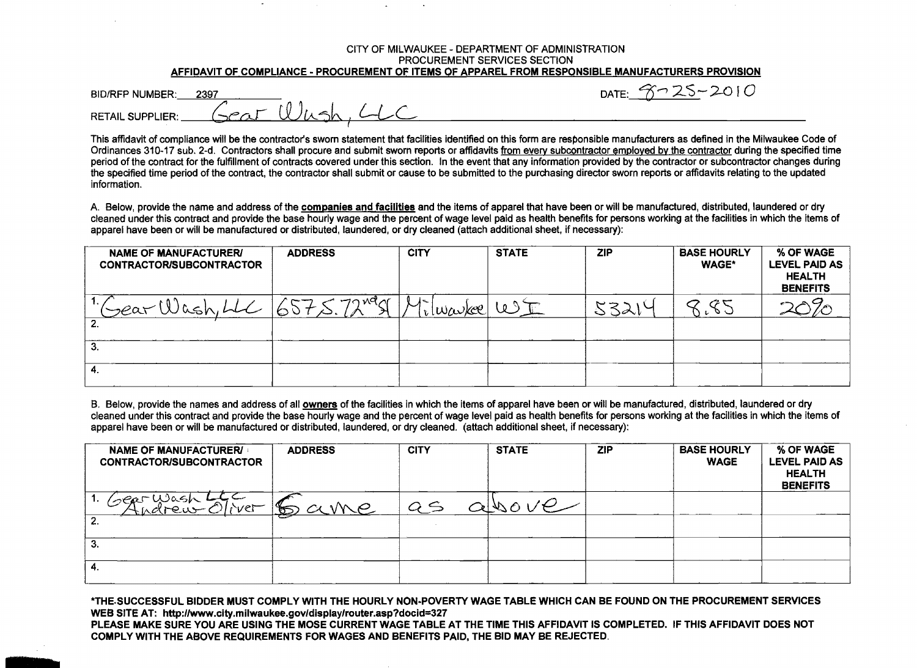## CITY OF MILWAUKEE - DEPARTMENT OF ADMINISTRATION PROCUREMENT SERVICES SECTION AFFIDAVIT OF COMPLIANCE - PROCUREMENT OF ITEMS OF APPAREL FROM RESPONSIBLE MANUFACTURERS PROVISION

| <b>BID/RFP NUMBER:</b>  | 2397 |                                    |  |
|-------------------------|------|------------------------------------|--|
|                         |      | $SerL$ $\left(\frac{1}{2}n\right)$ |  |
| <b>RETAIL SUPPLIER:</b> |      |                                    |  |

DATF:  $3725 - 2010$ 

This affidavit of compliance will be the contractor's sworn statement that facilities identified on this form are responsible manufacturers as defined in the Milwaukee Code of Ordinances 310-17 sub. 2-d. Contractors shall procure and submit sworn reports or affidavits from every subcontractor employed by the contractor during the specified time period of the contract for the fulfillment of contracts covered under this section. In the event that any information provided by the contractor or subcontractor changes during the specified time period of the contract, the contractor shall submit or cause to be submitted to the purchasing director sworn reports or affidavits relating to the updated information.

A. Below, provide the name and address of the companies and facilities and the items of apparel that have been or will be manufactured, distributed, laundered or dry cleaned under this contract and provide the base hourly wage and the percent of wage level paid as health benefits for persons working at the facilities in which the items of apparel have been or will be manufactured or distributed, laundered, or dry cleaned (attach additional sheet, if necessary):

| <b>NAME OF MANUFACTURERI</b><br><b>CONTRACTOR/SUBCONTRACTOR</b> | <b>ADDRESS</b> | <b>CITY</b>                                                                                                                                                                                                                                                                                                                                                                                                                | <b>STATE</b>          | <b>ZIP</b> | <b>BASE HOURLY</b><br><b>WAGE*</b> | % OF WAGE<br><b>LEVEL PAID AS</b><br><b>HEALTH</b><br><b>BENEFITS</b> |
|-----------------------------------------------------------------|----------------|----------------------------------------------------------------------------------------------------------------------------------------------------------------------------------------------------------------------------------------------------------------------------------------------------------------------------------------------------------------------------------------------------------------------------|-----------------------|------------|------------------------------------|-----------------------------------------------------------------------|
| 1.7<br>(year l                                                  | $79$ Mar       | $\mathcal{M}^-$<br>$\lceil \frac{1}{\nu} \lfloor \frac{1}{\nu} \frac{1}{\nu} \frac{1}{\nu} \frac{1}{\nu} \frac{1}{\nu} \frac{1}{\nu} \frac{1}{\nu} \frac{1}{\nu} \frac{1}{\nu} \frac{1}{\nu} \frac{1}{\nu} \frac{1}{\nu} \frac{1}{\nu} \frac{1}{\nu} \frac{1}{\nu} \frac{1}{\nu} \frac{1}{\nu} \frac{1}{\nu} \frac{1}{\nu} \frac{1}{\nu} \frac{1}{\nu} \frac{1}{\nu} \frac{1}{\nu} \frac{1}{\nu} \frac{1}{\nu} \frac{1}{\$ | $\omega$ $\mathbb{C}$ | 5321       |                                    |                                                                       |
|                                                                 |                |                                                                                                                                                                                                                                                                                                                                                                                                                            |                       |            |                                    |                                                                       |
| З.                                                              |                |                                                                                                                                                                                                                                                                                                                                                                                                                            |                       |            |                                    |                                                                       |
| 4.                                                              |                |                                                                                                                                                                                                                                                                                                                                                                                                                            |                       |            |                                    |                                                                       |

B. Below, provide the names and address of all owners of the facilities in which the items of apparel have been or will be manufactured, distributed, laundered or dry cleaned under this contract and provide the base hourly wage and the percent of wage level paid as health benefits for persons working at the facilities in which the items of apparel have been or will be manufactured or distributed, laundered, or dry cleaned. (attach additional sheet, if necessary);

| <b>NAME OF MANUFACTURER/</b><br><b>CONTRACTOR/SUBCONTRACTOR</b> | <b>ADDRESS</b> | <b>CITY</b>   | <b>STATE</b> | <b>ZIP</b> | <b>BASE HOURLY</b><br><b>WAGE</b> | % OF WAGE<br><b>LEVEL PAID AS</b><br><b>HEALTH</b><br><b>BENEFITS</b> |
|-----------------------------------------------------------------|----------------|---------------|--------------|------------|-----------------------------------|-----------------------------------------------------------------------|
| Wash<br>(SGR!<br>$I \wedge V$ e $\vdash$<br><u>Adrew</u><br>-2. | <u>Same</u>    | $Q \subseteq$ | abocve       |            |                                   |                                                                       |
| З.                                                              |                |               |              |            |                                   |                                                                       |
| 4.                                                              |                |               |              |            |                                   |                                                                       |

\*THE SUCCESSFUL BIDDER MUST COMPLY WITH THE HOURLY NON-POVERTY WAGE TABLE WHICH CAN BE FOUND ON THE PROCUREMENT SERVICES WEB SITE AT: http://www.city.milwaukee.gov/display/router.asp?docid=327 PLEASE MAKE SURE YOU ARE USING THE MOSE CURRENT WAGE TABLE AT THE TIME THIS AFFIDAVIT IS COMPLETED. IF THIS AFFIDAVIT DOES NOT COMPLY WITH THE ABOVE REQUIREMENTS FOR WAGES AND BENEFITS PAID. THE BID MAY BE REJECTED.